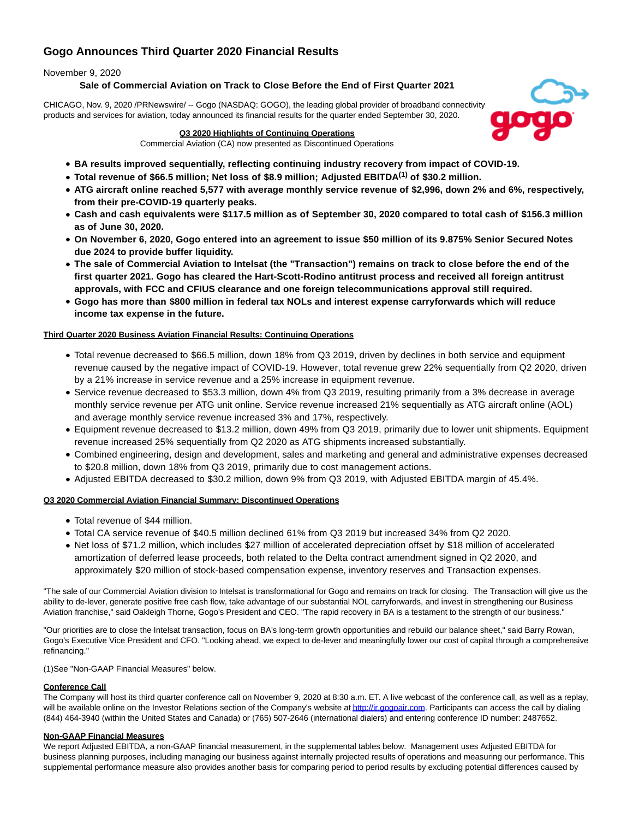# **Gogo Announces Third Quarter 2020 Financial Results**

November 9, 2020

# **Sale of Commercial Aviation on Track to Close Before the End of First Quarter 2021**

CHICAGO, Nov. 9, 2020 /PRNewswire/ -- Gogo (NASDAQ: GOGO), the leading global provider of broadband connectivity products and services for aviation, today announced its financial results for the quarter ended September 30, 2020.



**Q3 2020 Highlights of Continuing Operations** Commercial Aviation (CA) now presented as Discontinued Operations

- **BA results improved sequentially, reflecting continuing industry recovery from impact of COVID-19.**
- **Total revenue of \$66.5 million; Net loss of \$8.9 million; Adjusted EBITDA(1) of \$30.2 million.**
- **ATG aircraft online reached 5,577 with average monthly service revenue of \$2,996, down 2% and 6%, respectively, from their pre-COVID-19 quarterly peaks.**
- **Cash and cash equivalents were \$117.5 million as of September 30, 2020 compared to total cash of \$156.3 million as of June 30, 2020.**
- **On November 6, 2020, Gogo entered into an agreement to issue \$50 million of its 9.875% Senior Secured Notes due 2024 to provide buffer liquidity.**
- **The sale of Commercial Aviation to Intelsat (the "Transaction") remains on track to close before the end of the first quarter 2021. Gogo has cleared the Hart-Scott-Rodino antitrust process and received all foreign antitrust approvals, with FCC and CFIUS clearance and one foreign telecommunications approval still required.**
- **Gogo has more than \$800 million in federal tax NOLs and interest expense carryforwards which will reduce income tax expense in the future.**

# **Third Quarter 2020 Business Aviation Financial Results: Continuing Operations**

- Total revenue decreased to \$66.5 million, down 18% from Q3 2019, driven by declines in both service and equipment revenue caused by the negative impact of COVID-19. However, total revenue grew 22% sequentially from Q2 2020, driven by a 21% increase in service revenue and a 25% increase in equipment revenue.
- Service revenue decreased to \$53.3 million, down 4% from Q3 2019, resulting primarily from a 3% decrease in average monthly service revenue per ATG unit online. Service revenue increased 21% sequentially as ATG aircraft online (AOL) and average monthly service revenue increased 3% and 17%, respectively.
- Equipment revenue decreased to \$13.2 million, down 49% from Q3 2019, primarily due to lower unit shipments. Equipment revenue increased 25% sequentially from Q2 2020 as ATG shipments increased substantially.
- Combined engineering, design and development, sales and marketing and general and administrative expenses decreased to \$20.8 million, down 18% from Q3 2019, primarily due to cost management actions.
- Adjusted EBITDA decreased to \$30.2 million, down 9% from Q3 2019, with Adjusted EBITDA margin of 45.4%.

# **Q3 2020 Commercial Aviation Financial Summary: Discontinued Operations**

- Total revenue of \$44 million.
- Total CA service revenue of \$40.5 million declined 61% from Q3 2019 but increased 34% from Q2 2020.
- Net loss of \$71.2 million, which includes \$27 million of accelerated depreciation offset by \$18 million of accelerated amortization of deferred lease proceeds, both related to the Delta contract amendment signed in Q2 2020, and approximately \$20 million of stock-based compensation expense, inventory reserves and Transaction expenses.

"The sale of our Commercial Aviation division to Intelsat is transformational for Gogo and remains on track for closing. The Transaction will give us the ability to de-lever, generate positive free cash flow, take advantage of our substantial NOL carryforwards, and invest in strengthening our Business Aviation franchise," said Oakleigh Thorne, Gogo's President and CEO. "The rapid recovery in BA is a testament to the strength of our business."

"Our priorities are to close the Intelsat transaction, focus on BA's long-term growth opportunities and rebuild our balance sheet," said Barry Rowan, Gogo's Executive Vice President and CFO. "Looking ahead, we expect to de-lever and meaningfully lower our cost of capital through a comprehensive refinancing."

(1)See "Non-GAAP Financial Measures" below.

## **Conference Call**

The Company will host its third quarter conference call on November 9, 2020 at 8:30 a.m. ET. A live webcast of the conference call, as well as a replay, will be available online on the Investor Relations section of the Company's website a[t http://ir.gogoair.com.](https://c212.net/c/link/?t=0&l=en&o=2974587-1&h=1552789747&u=http%3A%2F%2Fir.gogoair.com%2F&a=http%3A%2F%2Fir.gogoair.com) Participants can access the call by dialing (844) 464-3940 (within the United States and Canada) or (765) 507-2646 (international dialers) and entering conference ID number: 2487652.

## **Non-GAAP Financial Measures**

We report Adjusted EBITDA, a non-GAAP financial measurement, in the supplemental tables below. Management uses Adjusted EBITDA for business planning purposes, including managing our business against internally projected results of operations and measuring our performance. This supplemental performance measure also provides another basis for comparing period to period results by excluding potential differences caused by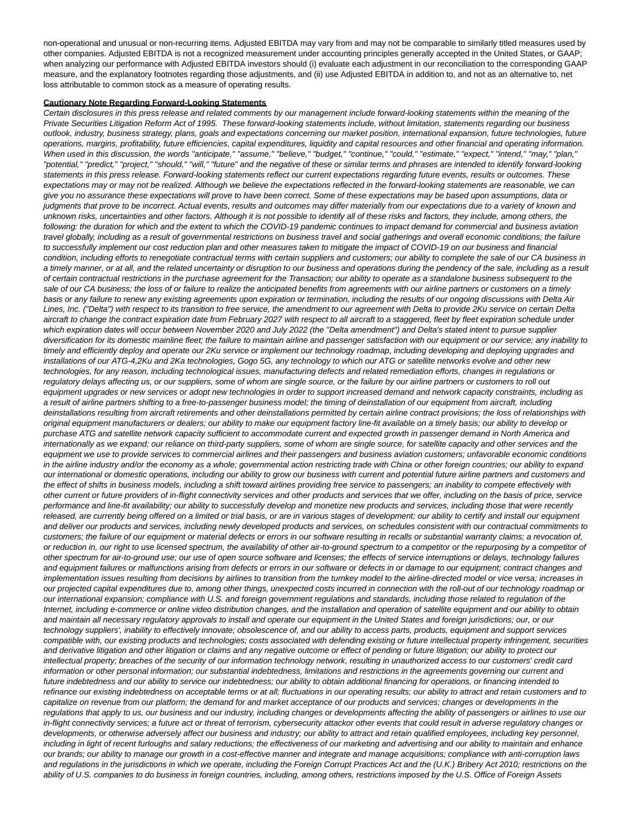non-operational and unusual or non-recurring items. Adjusted EBITDA may vary from and may not be comparable to similarly titled measures used by other companies. Adjusted EBITDA is not a recognized measurement under accounting principles generally accepted in the United States, or GAAP; when analyzing our performance with Adjusted EBITDA investors should (i) evaluate each adjustment in our reconciliation to the corresponding GAAP measure, and the explanatory footnotes regarding those adjustments, and (ii) use Adjusted EBITDA in addition to, and not as an alternative to, net loss attributable to common stock as a measure of operating results.

#### **Cautionary Note Regarding Forward-Looking Statements**

Certain disclosures in this press release and related comments by our management include forward-looking statements within the meaning of the Private Securities Litigation Reform Act of 1995. These forward-looking statements include, without limitation, statements regarding our business outlook, industry, business strategy, plans, goals and expectations concerning our market position, international expansion, future technologies, future operations, margins, profitability, future efficiencies, capital expenditures, liquidity and capital resources and other financial and operating information. When used in this discussion, the words "anticipate," "assume," "believe," "budget," "continue," "could," "estimate," "expect," "intend," "may," "plan," "potential," "predict," "project," "should," "will," "future" and the negative of these or similar terms and phrases are intended to identify forward-looking statements in this press release. Forward-looking statements reflect our current expectations regarding future events, results or outcomes. These expectations may or may not be realized. Although we believe the expectations reflected in the forward-looking statements are reasonable, we can give you no assurance these expectations will prove to have been correct. Some of these expectations may be based upon assumptions, data or judgments that prove to be incorrect. Actual events, results and outcomes may differ materially from our expectations due to a variety of known and unknown risks, uncertainties and other factors. Although it is not possible to identify all of these risks and factors, they include, among others, the following: the duration for which and the extent to which the COVID-19 pandemic continues to impact demand for commercial and business aviation travel globally, including as a result of governmental restrictions on business travel and social gatherings and overall economic conditions; the failure to successfully implement our cost reduction plan and other measures taken to mitigate the impact of COVID-19 on our business and financial condition, including efforts to renegotiate contractual terms with certain suppliers and customers; our ability to complete the sale of our CA business in a timely manner, or at all, and the related uncertainty or disruption to our business and operations during the pendency of the sale, including as a result of certain contractual restrictions in the purchase agreement for the Transaction; our ability to operate as a standalone business subsequent to the sale of our CA business; the loss of or failure to realize the anticipated benefits from agreements with our airline partners or customers on a timely basis or any failure to renew any existing agreements upon expiration or termination, including the results of our ongoing discussions with Delta Air Lines, Inc. ("Delta") with respect to its transition to free service, the amendment to our agreement with Delta to provide 2Ku service on certain Delta aircraft to change the contract expiration date from February 2027 with respect to all aircraft to a staggered, fleet by fleet expiration schedule under which expiration dates will occur between November 2020 and July 2022 (the "Delta amendment") and Delta's stated intent to pursue supplier diversification for its domestic mainline fleet; the failure to maintain airline and passenger satisfaction with our equipment or our service; any inability to timely and efficiently deploy and operate our 2Ku service or implement our technology roadmap, including developing and deploying upgrades and installations of our ATG-4,2Ku and 2Ka technologies, Gogo 5G, any technology to which our ATG or satellite networks evolve and other new technologies, for any reason, including technological issues, manufacturing defects and related remediation efforts, changes in regulations or regulatory delays affecting us, or our suppliers, some of whom are single source, or the failure by our airline partners or customers to roll out equipment upgrades or new services or adopt new technologies in order to support increased demand and network capacity constraints, including as a result of airline partners shifting to a free-to-passenger business model; the timing of deinstallation of our equipment from aircraft, including deinstallations resulting from aircraft retirements and other deinstallations permitted by certain airline contract provisions; the loss of relationships with original equipment manufacturers or dealers; our ability to make our equipment factory line-fit available on a timely basis; our ability to develop or purchase ATG and satellite network capacity sufficient to accommodate current and expected growth in passenger demand in North America and internationally as we expand; our reliance on third-party suppliers, some of whom are single source, for satellite capacity and other services and the equipment we use to provide services to commercial airlines and their passengers and business aviation customers; unfavorable economic conditions in the airline industry and/or the economy as a whole; governmental action restricting trade with China or other foreign countries; our ability to expand our international or domestic operations, including our ability to grow our business with current and potential future airline partners and customers and the effect of shifts in business models, including a shift toward airlines providing free service to passengers; an inability to compete effectively with other current or future providers of in-flight connectivity services and other products and services that we offer, including on the basis of price, service performance and line-fit availability; our ability to successfully develop and monetize new products and services, including those that were recently released, are currently being offered on a limited or trial basis, or are in various stages of development; our ability to certify and install our equipment and deliver our products and services, including newly developed products and services, on schedules consistent with our contractual commitments to customers; the failure of our equipment or material defects or errors in our software resulting in recalls or substantial warranty claims; a revocation of, or reduction in, our right to use licensed spectrum, the availability of other air-to-ground spectrum to a competitor or the repurposing by a competitor of other spectrum for air-to-ground use; our use of open source software and licenses; the effects of service interruptions or delays, technology failures and equipment failures or malfunctions arising from defects or errors in our software or defects in or damage to our equipment; contract changes and implementation issues resulting from decisions by airlines to transition from the turnkey model to the airline-directed model or vice versa; increases in our projected capital expenditures due to, among other things, unexpected costs incurred in connection with the roll-out of our technology roadmap or our international expansion; compliance with U.S. and foreign government regulations and standards, including those related to regulation of the Internet, including e-commerce or online video distribution changes, and the installation and operation of satellite equipment and our ability to obtain and maintain all necessary regulatory approvals to install and operate our equipment in the United States and foreign jurisdictions; our, or our technology suppliers', inability to effectively innovate; obsolescence of, and our ability to access parts, products, equipment and support services compatible with, our existing products and technologies; costs associated with defending existing or future intellectual property infringement, securities and derivative litigation and other litigation or claims and any negative outcome or effect of pending or future litigation; our ability to protect our intellectual property; breaches of the security of our information technology network, resulting in unauthorized access to our customers' credit card information or other personal information; our substantial indebtedness, limitations and restrictions in the agreements governing our current and future indebtedness and our ability to service our indebtedness; our ability to obtain additional financing for operations, or financing intended to refinance our existing indebtedness on acceptable terms or at all; fluctuations in our operating results; our ability to attract and retain customers and to capitalize on revenue from our platform; the demand for and market acceptance of our products and services; changes or developments in the regulations that apply to us, our business and our industry, including changes or developments affecting the ability of passengers or airlines to use our in-flight connectivity services; a future act or threat of terrorism, cybersecurity attackor other events that could result in adverse regulatory changes or developments, or otherwise adversely affect our business and industry; our ability to attract and retain qualified employees, including key personnel, including in light of recent furloughs and salary reductions; the effectiveness of our marketing and advertising and our ability to maintain and enhance our brands; our ability to manage our growth in a cost-effective manner and integrate and manage acquisitions; compliance with anti-corruption laws and regulations in the jurisdictions in which we operate, including the Foreign Corrupt Practices Act and the (U.K.) Bribery Act 2010; restrictions on the ability of U.S. companies to do business in foreign countries, including, among others, restrictions imposed by the U.S. Office of Foreign Assets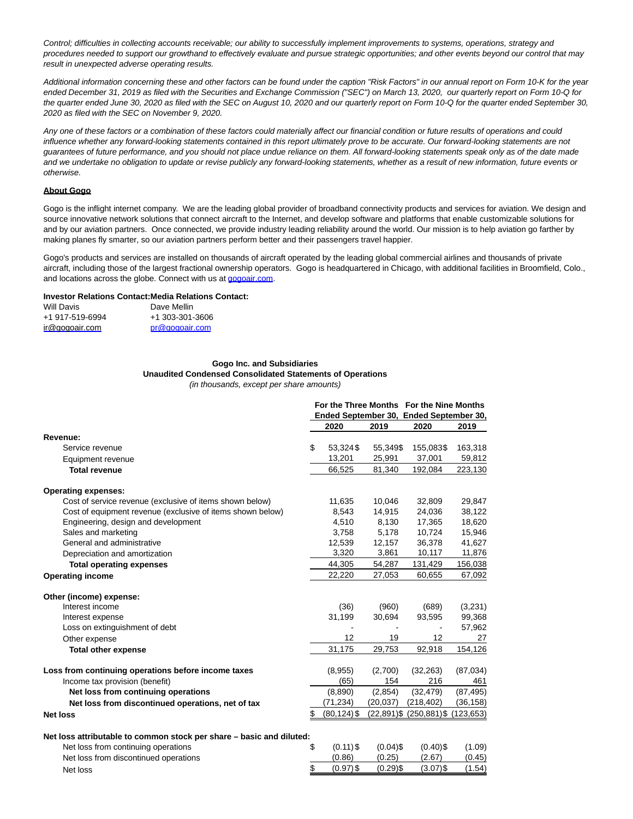Control; difficulties in collecting accounts receivable; our ability to successfully implement improvements to systems, operations, strategy and procedures needed to support our growthand to effectively evaluate and pursue strategic opportunities; and other events beyond our control that may result in unexpected adverse operating results.

Additional information concerning these and other factors can be found under the caption "Risk Factors" in our annual report on Form 10-K for the year ended December 31, 2019 as filed with the Securities and Exchange Commission ("SEC") on March 13, 2020, our quarterly report on Form 10-Q for the quarter ended June 30, 2020 as filed with the SEC on August 10, 2020 and our quarterly report on Form 10-Q for the quarter ended September 30, 2020 as filed with the SEC on November 9, 2020.

Any one of these factors or a combination of these factors could materially affect our financial condition or future results of operations and could influence whether any forward-looking statements contained in this report ultimately prove to be accurate. Our forward-looking statements are not guarantees of future performance, and you should not place undue reliance on them. All forward-looking statements speak only as of the date made and we undertake no obligation to update or revise publicly any forward-looking statements, whether as a result of new information, future events or otherwise.

## **About Gogo**

Gogo is the inflight internet company. We are the leading global provider of broadband connectivity products and services for aviation. We design and source innovative network solutions that connect aircraft to the Internet, and develop software and platforms that enable customizable solutions for and by our aviation partners. Once connected, we provide industry leading reliability around the world. Our mission is to help aviation go farther by making planes fly smarter, so our aviation partners perform better and their passengers travel happier.

Gogo's products and services are installed on thousands of aircraft operated by the leading global commercial airlines and thousands of private aircraft, including those of the largest fractional ownership operators. Gogo is headquartered in Chicago, with additional facilities in Broomfield, Colo., and locations across the globe. Connect with us at [gogoair.com.](https://c212.net/c/link/?t=0&l=en&o=2974587-1&h=1405798574&u=https%3A%2F%2Fwww.gogoair.com%2F&a=gogoair.com)

#### **Investor Relations Contact:Media Relations Contact:** Dave Mellin

| Will Davis      | Dave Mellin     |
|-----------------|-----------------|
| +1 917-519-6994 | +1 303-301-3606 |
| ir@gogoair.com  | pr@gogoair.com  |

**Gogo Inc. and Subsidiaries Unaudited Condensed Consolidated Statements of Operations** (in thousands, except per share amounts)

|                                                                      | For the Three Months For the Nine Months<br>Ended September 30, Ended September 30, |                |             |                              |            |  |
|----------------------------------------------------------------------|-------------------------------------------------------------------------------------|----------------|-------------|------------------------------|------------|--|
|                                                                      | 2020                                                                                |                | 2019        | 2020                         | 2019       |  |
| Revenue:                                                             |                                                                                     |                |             |                              |            |  |
| Service revenue                                                      | \$                                                                                  | 53,324\$       | 55,349\$    | 155,083\$                    | 163,318    |  |
| Equipment revenue                                                    |                                                                                     | 13,201         | 25,991      | 37,001                       | 59,812     |  |
| <b>Total revenue</b>                                                 |                                                                                     | 66,525         | 81,340      | 192,084                      | 223,130    |  |
| <b>Operating expenses:</b>                                           |                                                                                     |                |             |                              |            |  |
| Cost of service revenue (exclusive of items shown below)             |                                                                                     | 11,635         | 10,046      | 32,809                       | 29,847     |  |
| Cost of equipment revenue (exclusive of items shown below)           |                                                                                     | 8.543          | 14,915      | 24.036                       | 38,122     |  |
| Engineering, design and development                                  |                                                                                     | 4,510          | 8,130       | 17,365                       | 18,620     |  |
| Sales and marketing                                                  |                                                                                     | 3,758          | 5,178       | 10,724                       | 15,946     |  |
| General and administrative                                           |                                                                                     | 12,539         | 12,157      | 36,378                       | 41,627     |  |
| Depreciation and amortization                                        |                                                                                     | 3,320          | 3,861       | 10,117                       | 11,876     |  |
| <b>Total operating expenses</b>                                      |                                                                                     | 44,305         | 54,287      | 131,429                      | 156,038    |  |
| <b>Operating income</b>                                              |                                                                                     | 22.220         | 27,053      | 60.655                       | 67,092     |  |
| Other (income) expense:                                              |                                                                                     |                |             |                              |            |  |
| Interest income                                                      |                                                                                     | (36)           | (960)       | (689)                        | (3,231)    |  |
| Interest expense                                                     |                                                                                     | 31,199         | 30,694      | 93,595                       | 99,368     |  |
| Loss on extinguishment of debt                                       |                                                                                     |                |             |                              | 57,962     |  |
| Other expense                                                        |                                                                                     | 12             | 19          | 12                           | 27         |  |
| <b>Total other expense</b>                                           |                                                                                     | 31,175         | 29,753      | 92,918                       | 154,126    |  |
| Loss from continuing operations before income taxes                  |                                                                                     | (8,955)        | (2,700)     | (32, 263)                    | (87,034)   |  |
| Income tax provision (benefit)                                       |                                                                                     | (65)           | 154         | 216                          | 461        |  |
| Net loss from continuing operations                                  |                                                                                     | (8,890)        | (2,854)     | (32, 479)                    | (87, 495)  |  |
| Net loss from discontinued operations, net of tax                    |                                                                                     | (71, 234)      | (20, 037)   | (218, 402)                   | (36, 158)  |  |
| <b>Net loss</b>                                                      |                                                                                     | $(80, 124)$ \$ |             | $(22,891)$ \$ $(250,881)$ \$ | (123, 653) |  |
| Net loss attributable to common stock per share - basic and diluted: |                                                                                     |                |             |                              |            |  |
| Net loss from continuing operations                                  | \$                                                                                  | $(0.11)$ \$    | $(0.04)$ \$ | $(0.40)$ \$                  | (1.09)     |  |
| Net loss from discontinued operations                                |                                                                                     | (0.86)         | (0.25)      | (2.67)                       | (0.45)     |  |
| Net loss                                                             | \$                                                                                  | $(0.97)$ \$    | $(0.29)$ \$ | $(3.07)$ \$                  | (1.54)     |  |
|                                                                      |                                                                                     |                |             |                              |            |  |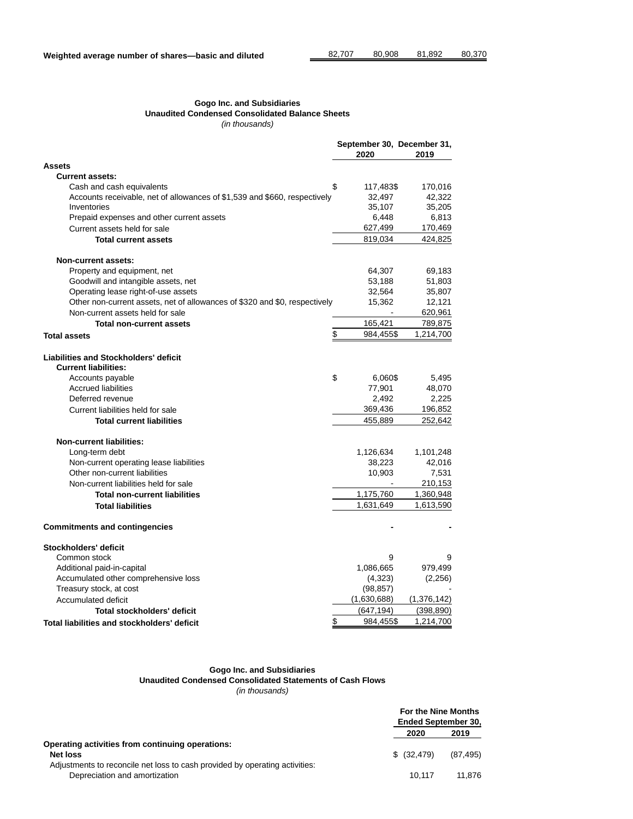#### **Gogo Inc. and Subsidiaries Unaudited Condensed Consolidated Balance Sheets** (in thousands)

**September 30, December 31, 2020 2019 Assets Current assets:** Cash and cash equivalents \$ 117,483\$ 170,016 Accounts receivable, net of allowances of \$1,539 and \$660, respectively 32,497 42,322 Inventories 35,107 35,205 Prepaid expenses and other current assets 6,448 6,813 Current assets held for sale **627,499** 170,469<br> **Total current assets** 619,034 424,825 **Total current assets** 819,034 424,825 **Non-current assets:** Property and equipment, net 64,307 69,183 Goodwill and intangible assets, net 53,188 51,803 Operating lease right-of-use assets 32,564 35,807 Other non-current assets, net of allowances of \$320 and \$0, respectively 15,362 12,121<br>Non-current assets held for sale 620.961 Non-current assets held for sale **Total non-current assets** 165,421 789,875 **Total assets by a gradient control of the set of the set of the set of the set of the set of the set of the set of the set of the set of the set of the set of the set of the set of the set of the set of the set of the s Liabilities and Stockholders' deficit Current liabilities:** Accounts payable 5 6,060\$ 5,495 Accrued liabilities 77,901 48,070 Deferred revenue 2,492 2,225 Current liabilities held for sale 369,436 196,852 **Total current liabilities** 455,889 252,642 **Non-current liabilities:** Long-term debt 1,126,634 1,101,248 Non-current operating lease liabilities and the set of the state of the state of the state of the of the of the Other non-current liabilities and Other non-current liabilities and the of the state of the state of the of th Other non-current liabilities Non-current liabilities held for sale example and the same of the 210,153 **Total non-current liabilities**<br> **Total liabilities** 1,613,590<br>
1,631,649 1,613,590 **Total liabilities Commitments and contingencies - - Stockholders' deficit** Common stock 9 9 Additional paid-in-capital Accumulated other comprehensive loss (4,323) (2,256) Treasury stock, at cost (98,857) Accumulated deficit (1,630,688) (1,376,142) **Total stockholders' deficit** (647,194) (398,890) **Total liabilities and stockholders' deficit** \$ 984,455\$ 1,214,700

#### **Gogo Inc. and Subsidiaries Unaudited Condensed Consolidated Statements of Cash Flows**

(in thousands)

|                                                                                                                                             | For the Nine Months<br><b>Ended September 30,</b> |           |
|---------------------------------------------------------------------------------------------------------------------------------------------|---------------------------------------------------|-----------|
|                                                                                                                                             | 2020                                              | 2019      |
| Operating activities from continuing operations:<br>Net loss<br>Adjustments to reconcile net loss to cash provided by operating activities: | \$ (32, 479)                                      | (87, 495) |
| Depreciation and amortization                                                                                                               | 10.117                                            | 11.876    |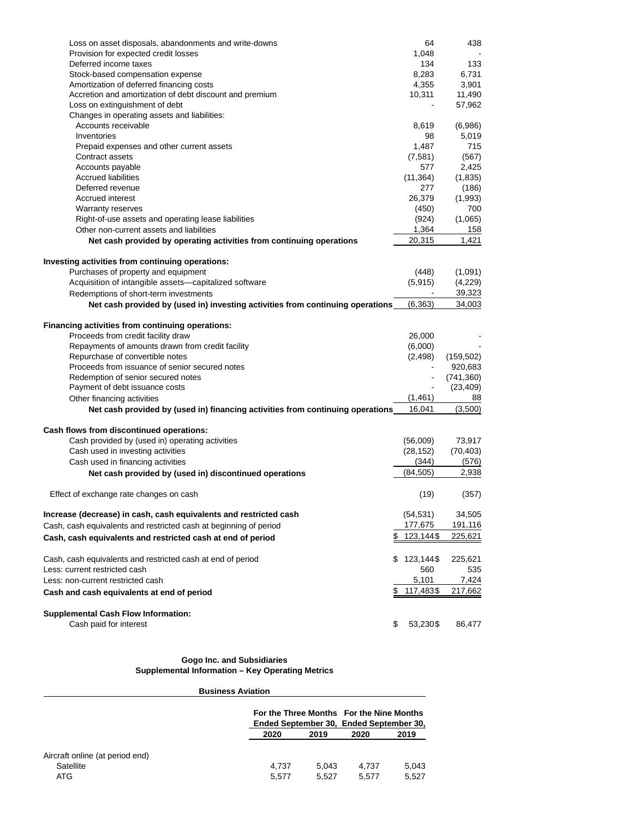| Loss on asset disposals, abandonments and write-downs                          | 64              | 438        |
|--------------------------------------------------------------------------------|-----------------|------------|
| Provision for expected credit losses                                           | 1,048           |            |
| Deferred income taxes                                                          | 134             | 133        |
| Stock-based compensation expense                                               | 8,283           | 6,731      |
| Amortization of deferred financing costs                                       | 4,355           | 3,901      |
| Accretion and amortization of debt discount and premium                        | 10,311          | 11,490     |
| Loss on extinguishment of debt                                                 |                 | 57,962     |
| Changes in operating assets and liabilities:                                   |                 |            |
| Accounts receivable                                                            | 8,619           | (6,986)    |
| Inventories                                                                    | 98              | 5,019      |
| Prepaid expenses and other current assets                                      | 1,487           | 715        |
| Contract assets                                                                | (7,581)         | (567)      |
| Accounts payable                                                               | 577             | 2,425      |
| <b>Accrued liabilities</b>                                                     | (11, 364)       | (1,835)    |
| Deferred revenue                                                               | 277             | (186)      |
| Accrued interest                                                               | 26,379          | (1,993)    |
| <b>Warranty reserves</b>                                                       | (450)           | 700        |
| Right-of-use assets and operating lease liabilities                            | (924)           | (1,065)    |
| Other non-current assets and liabilities                                       | 1,364           | 158        |
| Net cash provided by operating activities from continuing operations           | 20,315          | 1.421      |
|                                                                                |                 |            |
| Investing activities from continuing operations:                               |                 |            |
| Purchases of property and equipment                                            | (448)           | (1,091)    |
| Acquisition of intangible assets-capitalized software                          | (5, 915)        | (4,229)    |
| Redemptions of short-term investments                                          |                 | 39,323     |
| Net cash provided by (used in) investing activities from continuing operations | (6.363)         | 34,003     |
|                                                                                |                 |            |
| Financing activities from continuing operations:                               |                 |            |
| Proceeds from credit facility draw                                             | 26,000          |            |
| Repayments of amounts drawn from credit facility                               | (6,000)         |            |
| Repurchase of convertible notes                                                | (2, 498)        | (159, 502) |
| Proceeds from issuance of senior secured notes                                 |                 | 920,683    |
| Redemption of senior secured notes                                             |                 | (741, 360) |
| Payment of debt issuance costs                                                 |                 | (23, 409)  |
| Other financing activities                                                     | (1,461)         | 88         |
|                                                                                | 16,041          | (3,500)    |
| Net cash provided by (used in) financing activities from continuing operations |                 |            |
| Cash flows from discontinued operations:                                       |                 |            |
| Cash provided by (used in) operating activities                                | (56,009)        | 73,917     |
| Cash used in investing activities                                              | (28, 152)       | (70, 403)  |
| Cash used in financing activities                                              | (344)           | (576)      |
|                                                                                |                 |            |
| Net cash provided by (used in) discontinued operations                         | (84, 505)       | 2,938      |
|                                                                                |                 |            |
| Effect of exchange rate changes on cash                                        | (19)            | (357)      |
| Increase (decrease) in cash, cash equivalents and restricted cash              | (54, 531)       | 34,505     |
|                                                                                | 177,675         | 191,116    |
| Cash, cash equivalents and restricted cash at beginning of period              |                 |            |
| Cash, cash equivalents and restricted cash at end of period                    | \$<br>123,144\$ | 225,621    |
|                                                                                |                 |            |
| Cash, cash equivalents and restricted cash at end of period                    | $$123,144\$     | 225,621    |
| Less: current restricted cash                                                  | 560             | 535        |
| Less: non-current restricted cash                                              | 5,101           | 7,424      |
| Cash and cash equivalents at end of period                                     | 117,483\$<br>\$ | 217,662    |
|                                                                                |                 |            |
| <b>Supplemental Cash Flow Information:</b>                                     |                 |            |
| Cash paid for interest                                                         | \$<br>53,230\$  | 86,477     |
|                                                                                |                 |            |

#### **Gogo Inc. and Subsidiaries Supplemental Information – Key Operating Metrics**

**Business Aviation**

|                                 | For the Three Months For the Nine Months<br>Ended September 30, Ended September 30, |       |       |       |
|---------------------------------|-------------------------------------------------------------------------------------|-------|-------|-------|
|                                 | 2020                                                                                | 2019  | 2020  | 2019  |
| Aircraft online (at period end) |                                                                                     |       |       |       |
| Satellite                       | 4.737                                                                               | 5.043 | 4.737 | 5.043 |
|                                 | 5.577                                                                               | 5.527 | 5.577 | 5.527 |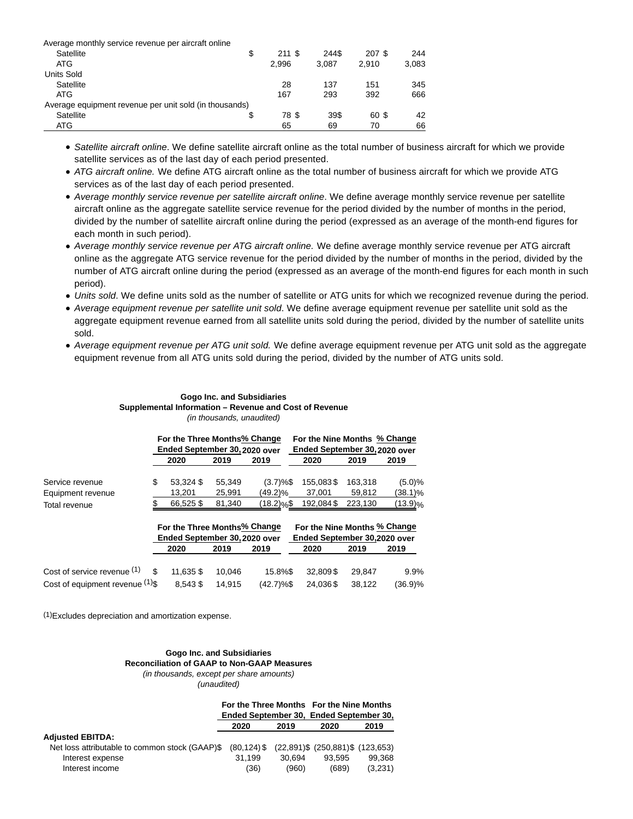| Average monthly service revenue per aircraft online    |            |       |        |       |
|--------------------------------------------------------|------------|-------|--------|-------|
| Satellite                                              | \$<br>211S | 244\$ | 207 \$ | 244   |
| ATG                                                    | 2,996      | 3.087 | 2.910  | 3,083 |
| Units Sold                                             |            |       |        |       |
| Satellite                                              | 28         | 137   | 151    | 345   |
| ATG                                                    | 167        | 293   | 392    | 666   |
| Average equipment revenue per unit sold (in thousands) |            |       |        |       |
| Satellite                                              | \$<br>78\$ | 39\$  | 60 S   | 42    |
| <b>ATG</b>                                             | 65         | 69    | 70     | 66    |

- Satellite aircraft online. We define satellite aircraft online as the total number of business aircraft for which we provide satellite services as of the last day of each period presented.
- ATG aircraft online. We define ATG aircraft online as the total number of business aircraft for which we provide ATG services as of the last day of each period presented.
- Average monthly service revenue per satellite aircraft online. We define average monthly service revenue per satellite aircraft online as the aggregate satellite service revenue for the period divided by the number of months in the period, divided by the number of satellite aircraft online during the period (expressed as an average of the month-end figures for each month in such period).
- Average monthly service revenue per ATG aircraft online. We define average monthly service revenue per ATG aircraft online as the aggregate ATG service revenue for the period divided by the number of months in the period, divided by the number of ATG aircraft online during the period (expressed as an average of the month-end figures for each month in such period).
- Units sold. We define units sold as the number of satellite or ATG units for which we recognized revenue during the period.
- Average equipment revenue per satellite unit sold. We define average equipment revenue per satellite unit sold as the aggregate equipment revenue earned from all satellite units sold during the period, divided by the number of satellite units sold.
- Average equipment revenue per ATG unit sold. We define average equipment revenue per ATG unit sold as the aggregate equipment revenue from all ATG units sold during the period, divided by the number of ATG units sold.

| Gogo Inc. and Subsidiaries                             |  |  |  |  |
|--------------------------------------------------------|--|--|--|--|
| Supplemental Information - Revenue and Cost of Revenue |  |  |  |  |
| (in thousands, unaudited)                              |  |  |  |  |

|                                    | For the Three Months% Change  |        |            | For the Nine Months % Change  |         |         |
|------------------------------------|-------------------------------|--------|------------|-------------------------------|---------|---------|
|                                    | Ended September 30, 2020 over |        |            | Ended September 30, 2020 over |         |         |
|                                    | 2020                          | 2019   | 2019       | 2020                          | 2019    | 2019    |
| \$<br>Service revenue              | 53.324 \$                     | 55,349 | (3.7)%\$   | 155,083\$                     | 163,318 | (5.0)%  |
| Equipment revenue                  | 13,201                        | 25.991 | (49.2)%    | 37.001                        | 59,812  | (38.1)% |
| Total revenue                      | 66.525\$                      | 81,340 | $(18.2)\%$ | 192,084\$                     | 223,130 | (13.9)% |
|                                    |                               |        |            |                               |         |         |
|                                    | For the Three Months% Change  |        |            | For the Nine Months % Change  |         |         |
|                                    | Ended September 30, 2020 over |        |            | Ended September 30,2020 over  |         |         |
|                                    | 2020                          | 2019   | 2019       | 2020                          | 2019    | 2019    |
| Cost of service revenue (1)<br>\$  | 11.635 \$                     | 10.046 | 15.8%\$    | 32.809\$                      | 29.847  | 9.9%    |
| Cost of equipment revenue $(1)$ \$ | 8.543\$                       | 14.915 | (42.7)%\$  | 24.036\$                      | 38,122  | (36.9)% |

(1)Excludes depreciation and amortization expense.

## **Gogo Inc. and Subsidiaries Reconciliation of GAAP to Non-GAAP Measures**

(in thousands, except per share amounts)

(unaudited)

|                                                | For the Three Months For the Nine Months |        |                                                            |         |  |
|------------------------------------------------|------------------------------------------|--------|------------------------------------------------------------|---------|--|
|                                                | Ended September 30, Ended September 30,  |        |                                                            |         |  |
|                                                | 2020                                     | 2019   | 2020                                                       | 2019    |  |
| <b>Adjusted EBITDA:</b>                        |                                          |        |                                                            |         |  |
| Net loss attributable to common stock (GAAP)\$ |                                          |        | $(80, 124)$ \$ $(22, 891)$ \$ $(250, 881)$ \$ $(123, 653)$ |         |  |
| Interest expense                               | 31.199                                   | 30.694 | 93.595                                                     | 99.368  |  |
| Interest income                                | (36)                                     | (960)  | (689)                                                      | (3,231) |  |
|                                                |                                          |        |                                                            |         |  |